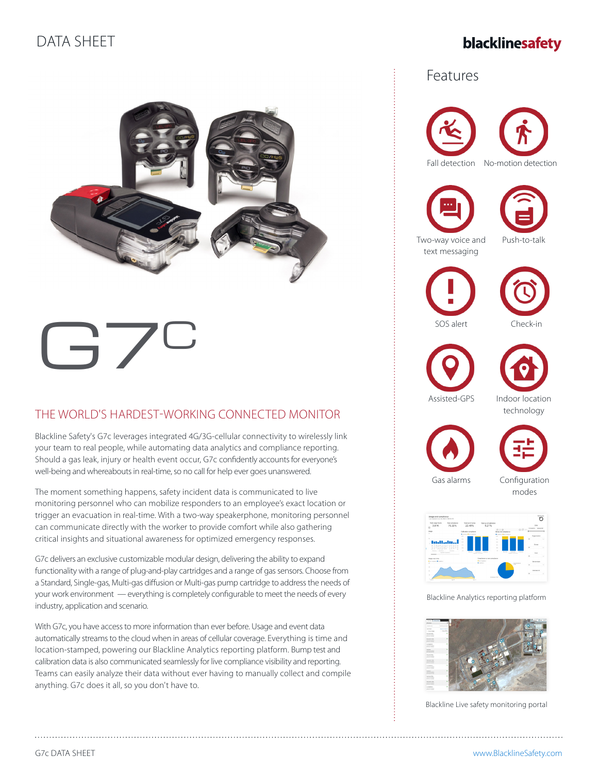## DATA SHEET

## blacklinesafety



# $l - 1/2$

## THE WORLD'S HARDEST-WORKING CONNECTED MONITOR

Blackline Safety's G7c leverages integrated 4G/3G-cellular connectivity to wirelessly link your team to real people, while automating data analytics and compliance reporting. Should a gas leak, injury or health event occur, G7c confidently accounts for everyone's well-being and whereabouts in real-time, so no call for help ever goes unanswered.

The moment something happens, safety incident data is communicated to live monitoring personnel who can mobilize responders to an employee's exact location or trigger an evacuation in real-time. With a two-way speakerphone, monitoring personnel can communicate directly with the worker to provide comfort while also gathering critical insights and situational awareness for optimized emergency responses.

G7c delivers an exclusive customizable modular design, delivering the ability to expand functionality with a range of plug-and-play cartridges and a range of gas sensors. Choose from a Standard, Single-gas, Multi-gas diffusion or Multi-gas pump cartridge to address the needs of your work environment — everything is completely configurable to meet the needs of every industry, application and scenario.

With G7c, you have access to more information than ever before. Usage and event data automatically streams to the cloud when in areas of cellular coverage. Everything is time and location-stamped, powering our Blackline Analytics reporting platform. Bump test and calibration data is also communicated seamlessly for live compliance visibility and reporting. Teams can easily analyze their data without ever having to manually collect and compile anything. G7c does it all, so you don't have to.

### Features





Push-to-talk









Assisted-GPS Indoor location technology





Gas alarms Configuration

modes



Blackline Analytics reporting platform



Blackline Live safety monitoring portal